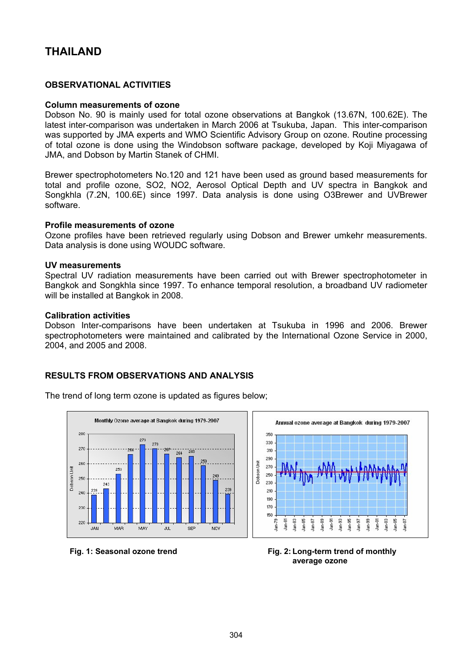# **THAILAND**

# **OBSERVATIONAL ACTIVITIES**

#### **Column measurements of ozone**

Dobson No. 90 is mainly used for total ozone observations at Bangkok (13.67N, 100.62E). The latest inter-comparison was undertaken in March 2006 at Tsukuba, Japan. This inter-comparison was supported by JMA experts and WMO Scientific Advisory Group on ozone. Routine processing of total ozone is done using the Windobson software package, developed by Koji Miyagawa of JMA, and Dobson by Martin Stanek of CHMI.

Brewer spectrophotometers No.120 and 121 have been used as ground based measurements for total and profile ozone, SO2, NO2, Aerosol Optical Depth and UV spectra in Bangkok and Songkhla (7.2N, 100.6E) since 1997. Data analysis is done using O3Brewer and UVBrewer software.

#### **Profile measurements of ozone**

Ozone profiles have been retrieved regularly using Dobson and Brewer umkehr measurements. Data analysis is done using WOUDC software.

#### **UV measurements**

Spectral UV radiation measurements have been carried out with Brewer spectrophotometer in Bangkok and Songkhla since 1997. To enhance temporal resolution, a broadband UV radiometer will be installed at Bangkok in 2008.

#### **Calibration activities**

Dobson Inter-comparisons have been undertaken at Tsukuba in 1996 and 2006. Brewer spectrophotometers were maintained and calibrated by the International Ozone Service in 2000, 2004, and 2005 and 2008.

 $350$ 

330

## **RESULTS FROM OBSERVATIONS AND ANALYSIS**

The trend of long term ozone is updated as figures below;





Annual ozone average at Bangkok during 1979-2007

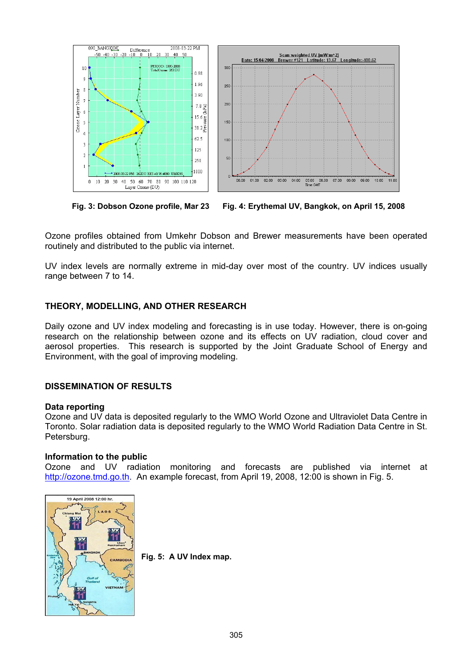

 **Fig. 3: Dobson Ozone profile, Mar 23 Fig. 4: Erythemal UV, Bangkok, on April 15, 2008** 

Ozone profiles obtained from Umkehr Dobson and Brewer measurements have been operated routinely and distributed to the public via internet.

UV index levels are normally extreme in mid-day over most of the country. UV indices usually range between 7 to 14.

# **THEORY, MODELLING, AND OTHER RESEARCH**

Daily ozone and UV index modeling and forecasting is in use today. However, there is on-going research on the relationship between ozone and its effects on UV radiation, cloud cover and aerosol properties. This research is supported by the Joint Graduate School of Energy and Environment, with the goal of improving modeling.

# **DISSEMINATION OF RESULTS**

## **Data reporting**

Ozone and UV data is deposited regularly to the WMO World Ozone and Ultraviolet Data Centre in Toronto. Solar radiation data is deposited regularly to the WMO World Radiation Data Centre in St. Petersburg.

# **Information to the public**

Ozone and UV radiation monitoring and forecasts are published via internet at [http://ozone.tmd.go.th](http://ozone.tmd.go.th/). An example forecast, from April 19, 2008, 12:00 is shown in Fig. 5.



**Fig. 5: A UV Index map.**